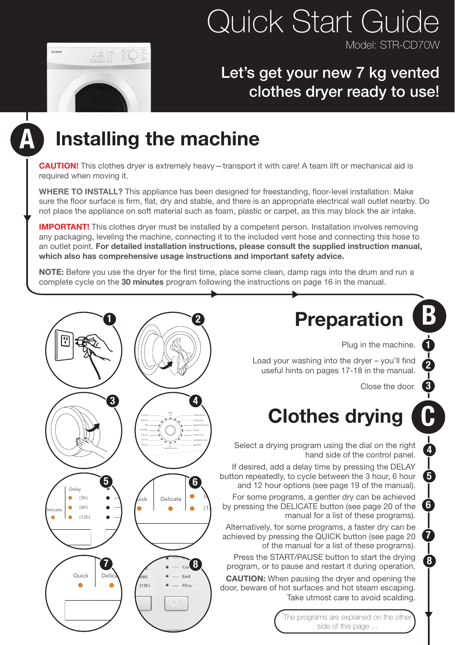#### **Quick Start Guide** Model: STR-CD70W

#### Let's get your new 7 kg vented clothes dryer ready to use!



## Installing the machine

**CAUTION!** This clothes dryer is extremely heavy-transport it with care! A team lift or mechanical aid is required when moving it.

WHERE TO INSTALL? This appliance has been designed for freestanding, floor-level installation. Make sure the floor surface is firm, flat, dry and stable, and there is an appropriate electrical wall outlet nearby. Do not place the appliance on soft material such as foam, plastic or carpet, as this may block the air intake.

**IMPORTANT!** This clothes dryer must be installed by a competent person. Installation involves removing any packaging, leveling the machine, connecting it to the included vent hose and connecting this hose to an outlet point. For detailed installation instructions, please consult the supplied instruction manual, which also has comprehensive usage instructions and important safety advice.

NOTE: Before you use the dryer for the first time, place some clean, damp rags into the drum and run a complete cycle on the 30 minutes program following the instructions on page 16 in the manual.